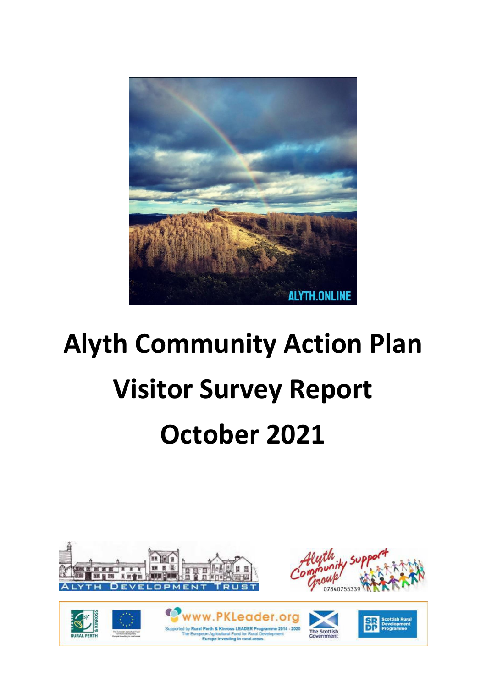

# **Alyth Community Action Plan Visitor Survey Report October 2021**





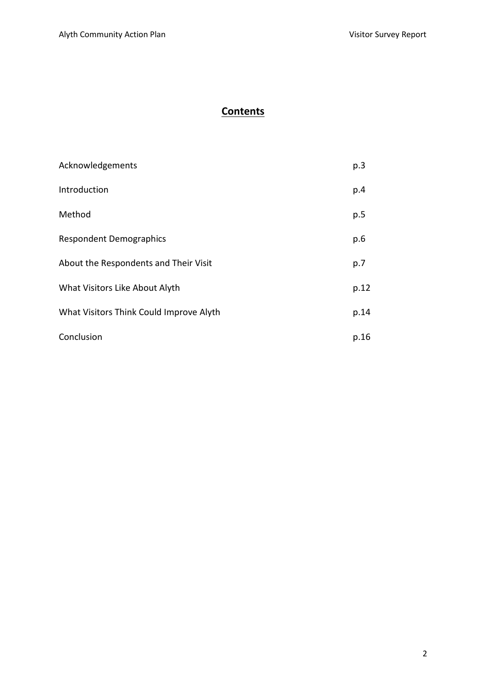# **Contents**

| Acknowledgements                        | p.3  |
|-----------------------------------------|------|
| Introduction                            | p.4  |
| Method                                  | p.5  |
| <b>Respondent Demographics</b>          | p.6  |
| About the Respondents and Their Visit   | p.7  |
| What Visitors Like About Alyth          | p.12 |
| What Visitors Think Could Improve Alyth | p.14 |
| Conclusion                              | p.16 |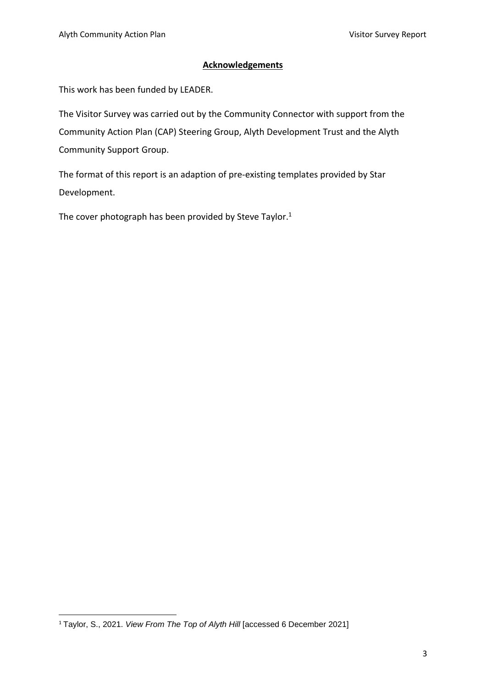# **Acknowledgements**

This work has been funded by LEADER.

The Visitor Survey was carried out by the Community Connector with support from the Community Action Plan (CAP) Steering Group, Alyth Development Trust and the Alyth Community Support Group.

The format of this report is an adaption of pre-existing templates provided by Star Development.

The cover photograph has been provided by Steve Taylor.<sup>1</sup>

<sup>1</sup> Taylor, S., 2021. *View From The Top of Alyth Hill* [accessed 6 December 2021]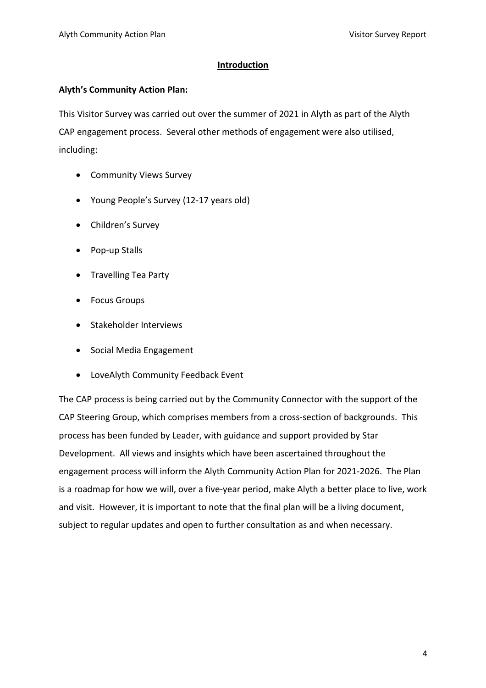## **Introduction**

## **Alyth's Community Action Plan:**

This Visitor Survey was carried out over the summer of 2021 in Alyth as part of the Alyth CAP engagement process. Several other methods of engagement were also utilised, including:

- Community Views Survey
- Young People's Survey (12-17 years old)
- Children's Survey
- Pop-up Stalls
- Travelling Tea Party
- Focus Groups
- Stakeholder Interviews
- Social Media Engagement
- LoveAlyth Community Feedback Event

The CAP process is being carried out by the Community Connector with the support of the CAP Steering Group, which comprises members from a cross-section of backgrounds. This process has been funded by Leader, with guidance and support provided by Star Development. All views and insights which have been ascertained throughout the engagement process will inform the Alyth Community Action Plan for 2021-2026. The Plan is a roadmap for how we will, over a five-year period, make Alyth a better place to live, work and visit. However, it is important to note that the final plan will be a living document, subject to regular updates and open to further consultation as and when necessary.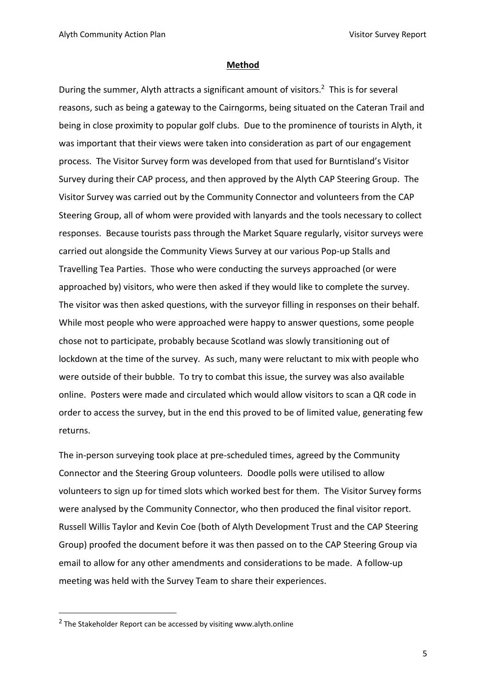#### **Method**

During the summer, Alyth attracts a significant amount of visitors.<sup>2</sup> This is for several reasons, such as being a gateway to the Cairngorms, being situated on the Cateran Trail and being in close proximity to popular golf clubs. Due to the prominence of tourists in Alyth, it was important that their views were taken into consideration as part of our engagement process. The Visitor Survey form was developed from that used for Burntisland's Visitor Survey during their CAP process, and then approved by the Alyth CAP Steering Group. The Visitor Survey was carried out by the Community Connector and volunteers from the CAP Steering Group, all of whom were provided with lanyards and the tools necessary to collect responses. Because tourists pass through the Market Square regularly, visitor surveys were carried out alongside the Community Views Survey at our various Pop-up Stalls and Travelling Tea Parties. Those who were conducting the surveys approached (or were approached by) visitors, who were then asked if they would like to complete the survey. The visitor was then asked questions, with the surveyor filling in responses on their behalf. While most people who were approached were happy to answer questions, some people chose not to participate, probably because Scotland was slowly transitioning out of lockdown at the time of the survey. As such, many were reluctant to mix with people who were outside of their bubble. To try to combat this issue, the survey was also available online. Posters were made and circulated which would allow visitors to scan a QR code in order to access the survey, but in the end this proved to be of limited value, generating few returns.

The in-person surveying took place at pre-scheduled times, agreed by the Community Connector and the Steering Group volunteers. Doodle polls were utilised to allow volunteers to sign up for timed slots which worked best for them. The Visitor Survey forms were analysed by the Community Connector, who then produced the final visitor report. Russell Willis Taylor and Kevin Coe (both of Alyth Development Trust and the CAP Steering Group) proofed the document before it was then passed on to the CAP Steering Group via email to allow for any other amendments and considerations to be made. A follow-up meeting was held with the Survey Team to share their experiences.

 $2$  The Stakeholder Report can be accessed by visiting www.alyth.online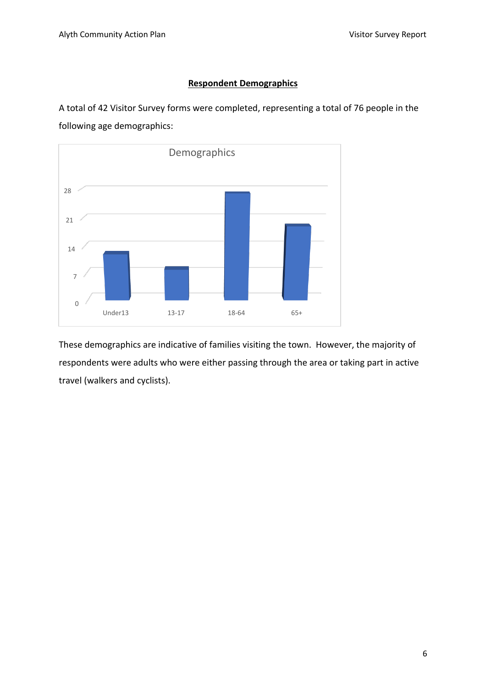# **Respondent Demographics**

A total of 42 Visitor Survey forms were completed, representing a total of 76 people in the following age demographics:



These demographics are indicative of families visiting the town. However, the majority of respondents were adults who were either passing through the area or taking part in active travel (walkers and cyclists).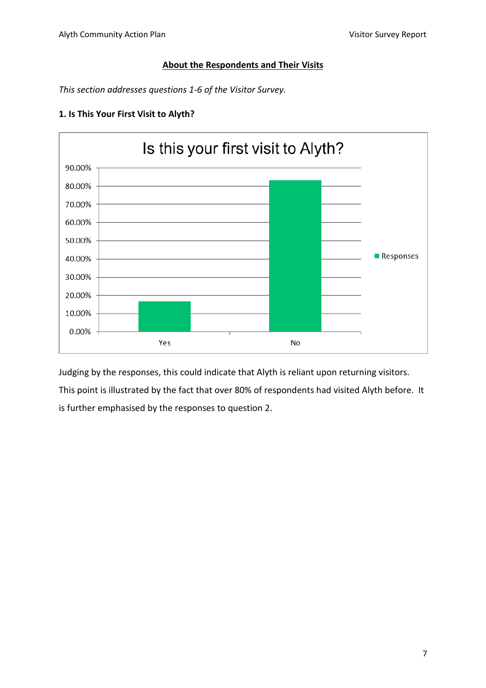# **About the Respondents and Their Visits**

*This section addresses questions 1-6 of the Visitor Survey.*



# **1. Is This Your First Visit to Alyth?**

Judging by the responses, this could indicate that Alyth is reliant upon returning visitors. This point is illustrated by the fact that over 80% of respondents had visited Alyth before. It is further emphasised by the responses to question 2.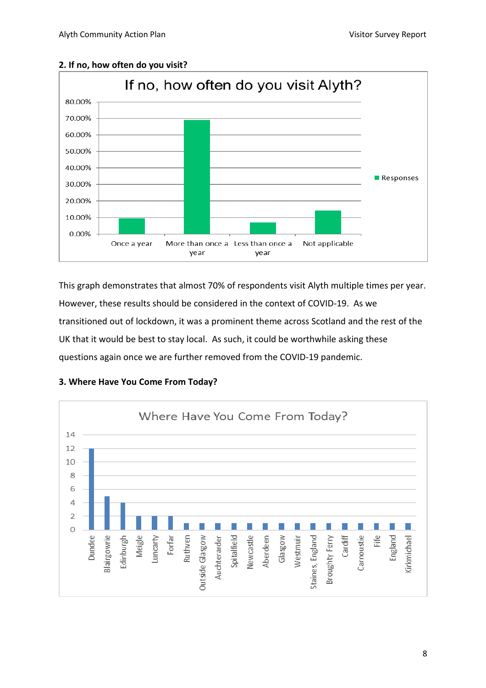

#### **2. If no, how often do you visit?**

This graph demonstrates that almost 70% of respondents visit Alyth multiple times per year. However, these results should be considered in the context of COVID-19. As we transitioned out of lockdown, it was a prominent theme across Scotland and the rest of the UK that it would be best to stay local. As such, it could be worthwhile asking these questions again once we are further removed from the COVID-19 pandemic.



## **3. Where Have You Come From Today?**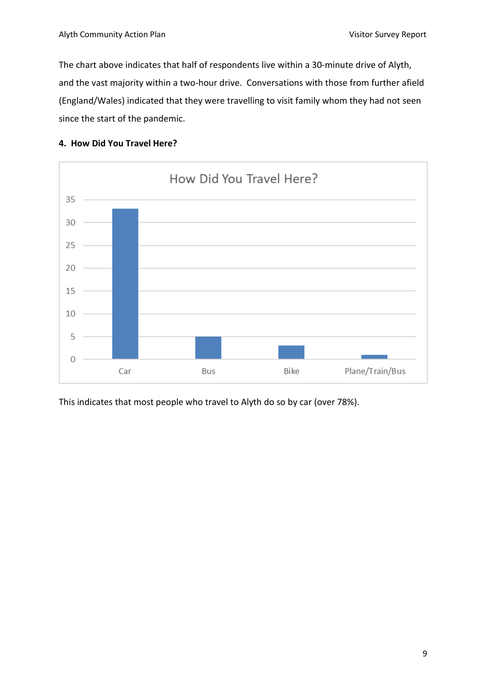The chart above indicates that half of respondents live within a 30-minute drive of Alyth, and the vast majority within a two-hour drive. Conversations with those from further afield (England/Wales) indicated that they were travelling to visit family whom they had not seen since the start of the pandemic.





This indicates that most people who travel to Alyth do so by car (over 78%).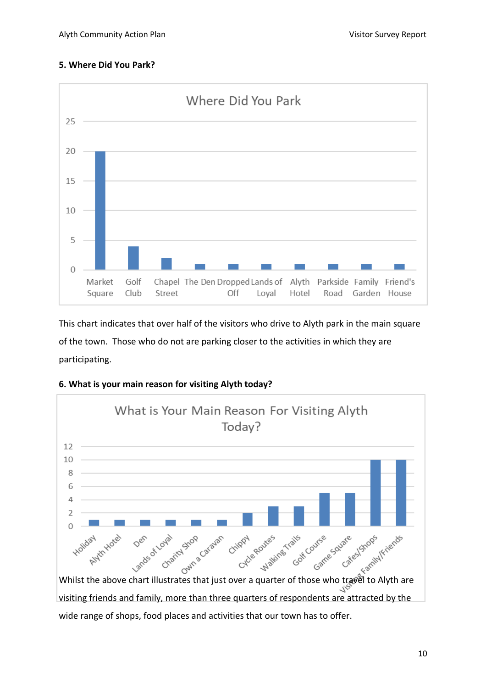# **5. Where Did You Park?**



This chart indicates that over half of the visitors who drive to Alyth park in the main square of the town. Those who do not are parking closer to the activities in which they are participating.





visiting friends and family, more than three quarters of respondents are attracted by the wide range of shops, food places and activities that our town has to offer.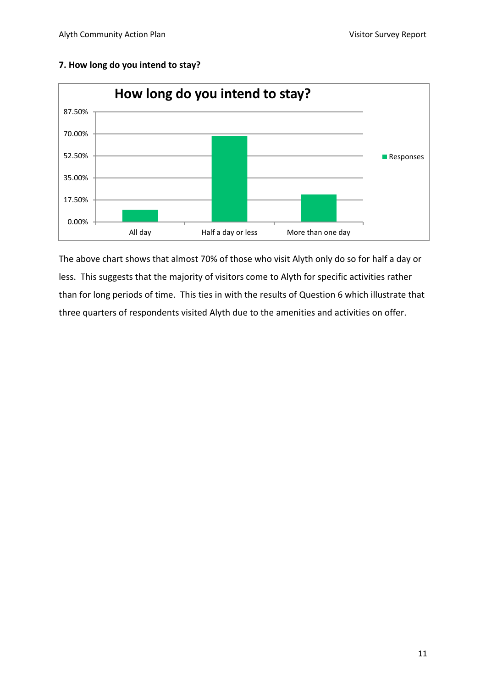

# **7. How long do you intend to stay?**

The above chart shows that almost 70% of those who visit Alyth only do so for half a day or less. This suggests that the majority of visitors come to Alyth for specific activities rather than for long periods of time. This ties in with the results of Question 6 which illustrate that three quarters of respondents visited Alyth due to the amenities and activities on offer.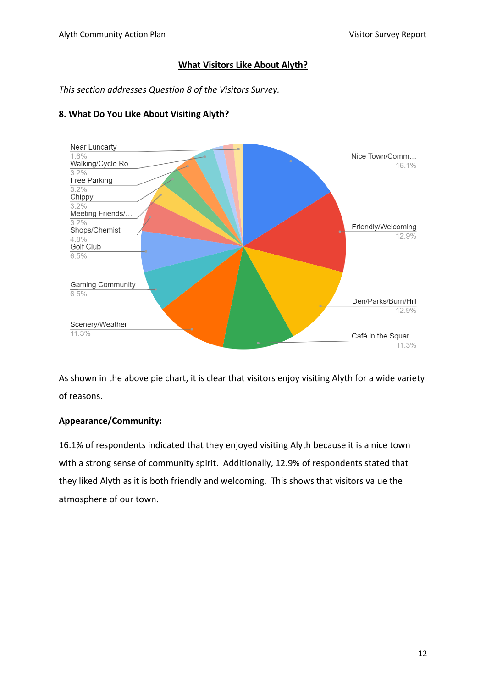# **What Visitors Like About Alyth?**

*This section addresses Question 8 of the Visitors Survey.*



# **8. What Do You Like About Visiting Alyth?**

As shown in the above pie chart, it is clear that visitors enjoy visiting Alyth for a wide variety of reasons.

# **Appearance/Community:**

16.1% of respondents indicated that they enjoyed visiting Alyth because it is a nice town with a strong sense of community spirit. Additionally, 12.9% of respondents stated that they liked Alyth as it is both friendly and welcoming. This shows that visitors value the atmosphere of our town.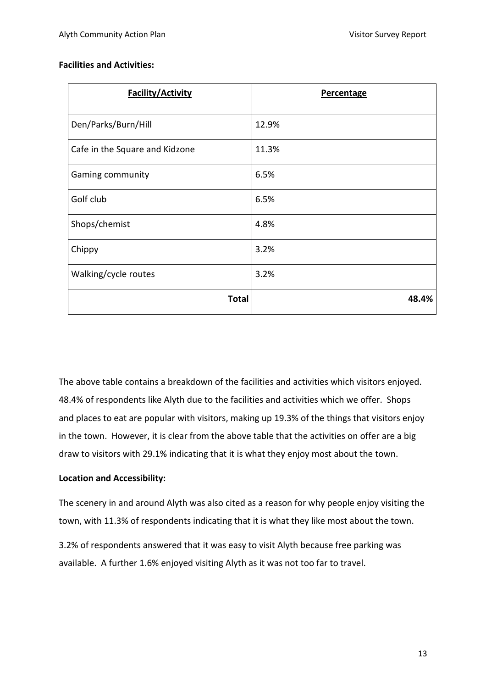## **Facilities and Activities:**

| <b>Facility/Activity</b>       | <b>Percentage</b> |
|--------------------------------|-------------------|
| Den/Parks/Burn/Hill            | 12.9%             |
| Cafe in the Square and Kidzone | 11.3%             |
| Gaming community               | 6.5%              |
| Golf club                      | 6.5%              |
| Shops/chemist                  | 4.8%              |
| Chippy                         | 3.2%              |
| Walking/cycle routes           | 3.2%              |
| <b>Total</b>                   | 48.4%             |

The above table contains a breakdown of the facilities and activities which visitors enjoyed. 48.4% of respondents like Alyth due to the facilities and activities which we offer. Shops and places to eat are popular with visitors, making up 19.3% of the things that visitors enjoy in the town. However, it is clear from the above table that the activities on offer are a big draw to visitors with 29.1% indicating that it is what they enjoy most about the town.

# **Location and Accessibility:**

The scenery in and around Alyth was also cited as a reason for why people enjoy visiting the town, with 11.3% of respondents indicating that it is what they like most about the town.

3.2% of respondents answered that it was easy to visit Alyth because free parking was available. A further 1.6% enjoyed visiting Alyth as it was not too far to travel.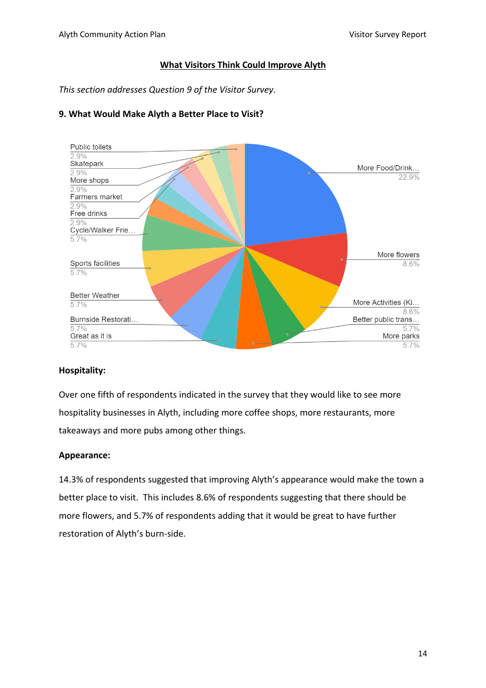## **What Visitors Think Could Improve Alyth**

*This section addresses Question 9 of the Visitor Survey.*



# **9. What Would Make Alyth a Better Place to Visit?**

#### **Hospitality:**

Over one fifth of respondents indicated in the survey that they would like to see more hospitality businesses in Alyth, including more coffee shops, more restaurants, more takeaways and more pubs among other things.

# **Appearance:**

14.3% of respondents suggested that improving Alyth's appearance would make the town a better place to visit. This includes 8.6% of respondents suggesting that there should be more flowers, and 5.7% of respondents adding that it would be great to have further restoration of Alyth's burn-side.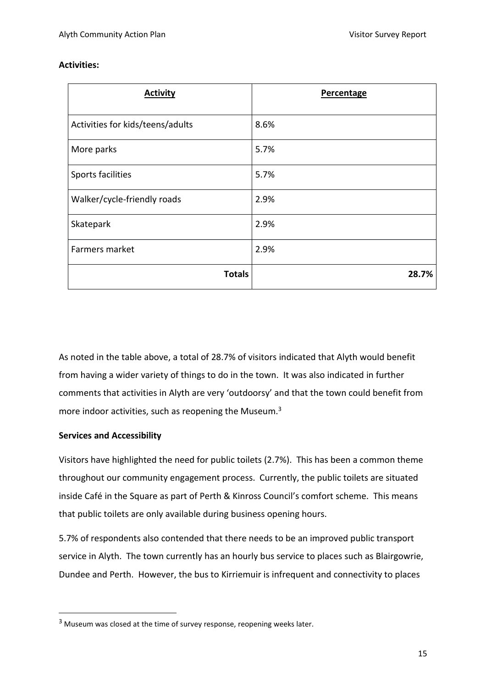# **Activities:**

| <b>Activity</b>                  | <b>Percentage</b> |
|----------------------------------|-------------------|
| Activities for kids/teens/adults | 8.6%              |
| More parks                       | 5.7%              |
| Sports facilities                | 5.7%              |
| Walker/cycle-friendly roads      | 2.9%              |
| Skatepark                        | 2.9%              |
| Farmers market                   | 2.9%              |
| <b>Totals</b>                    | 28.7%             |

As noted in the table above, a total of 28.7% of visitors indicated that Alyth would benefit from having a wider variety of things to do in the town. It was also indicated in further comments that activities in Alyth are very 'outdoorsy' and that the town could benefit from more indoor activities, such as reopening the Museum.<sup>3</sup>

# **Services and Accessibility**

Visitors have highlighted the need for public toilets (2.7%). This has been a common theme throughout our community engagement process. Currently, the public toilets are situated inside Café in the Square as part of Perth & Kinross Council's comfort scheme. This means that public toilets are only available during business opening hours.

5.7% of respondents also contended that there needs to be an improved public transport service in Alyth. The town currently has an hourly bus service to places such as Blairgowrie, Dundee and Perth. However, the bus to Kirriemuir is infrequent and connectivity to places

<sup>&</sup>lt;sup>3</sup> Museum was closed at the time of survey response, reopening weeks later.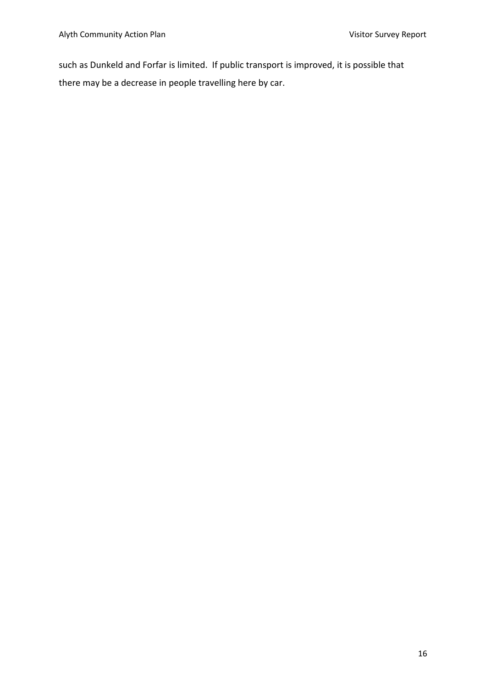such as Dunkeld and Forfar is limited. If public transport is improved, it is possible that there may be a decrease in people travelling here by car.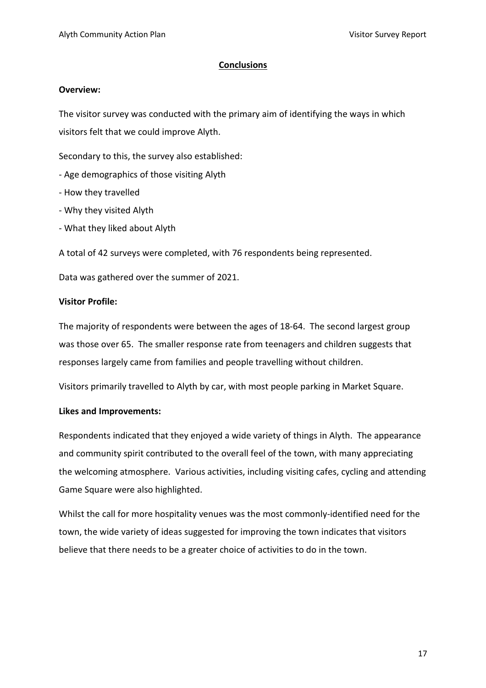#### **Conclusions**

#### **Overview:**

The visitor survey was conducted with the primary aim of identifying the ways in which visitors felt that we could improve Alyth.

Secondary to this, the survey also established:

- Age demographics of those visiting Alyth
- How they travelled
- Why they visited Alyth
- What they liked about Alyth

A total of 42 surveys were completed, with 76 respondents being represented.

Data was gathered over the summer of 2021.

## **Visitor Profile:**

The majority of respondents were between the ages of 18-64. The second largest group was those over 65. The smaller response rate from teenagers and children suggests that responses largely came from families and people travelling without children.

Visitors primarily travelled to Alyth by car, with most people parking in Market Square.

#### **Likes and Improvements:**

Respondents indicated that they enjoyed a wide variety of things in Alyth. The appearance and community spirit contributed to the overall feel of the town, with many appreciating the welcoming atmosphere. Various activities, including visiting cafes, cycling and attending Game Square were also highlighted.

Whilst the call for more hospitality venues was the most commonly-identified need for the town, the wide variety of ideas suggested for improving the town indicates that visitors believe that there needs to be a greater choice of activities to do in the town.